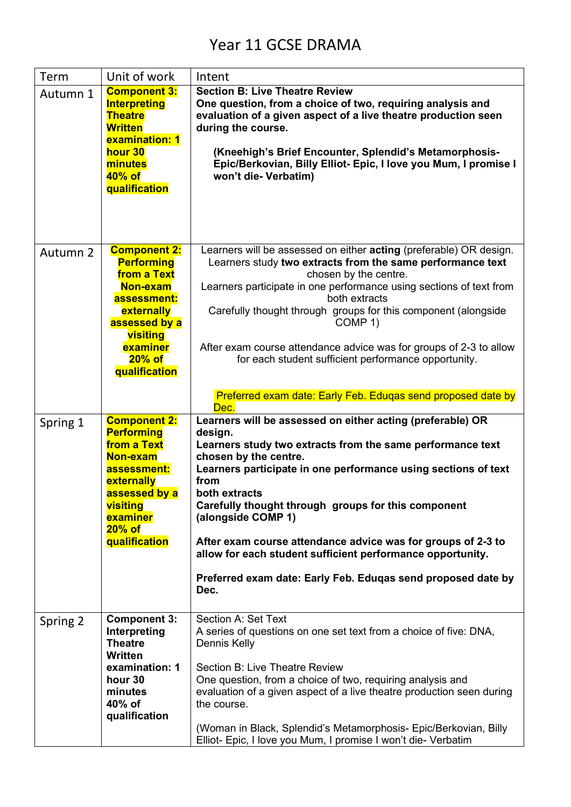## Year 11 GCSE DRAMA

| Term     | Unit of work                                                                                                                                                            | Intent                                                                                                                                                                                                                                                                                                                                                                                                                                                                                                                                     |
|----------|-------------------------------------------------------------------------------------------------------------------------------------------------------------------------|--------------------------------------------------------------------------------------------------------------------------------------------------------------------------------------------------------------------------------------------------------------------------------------------------------------------------------------------------------------------------------------------------------------------------------------------------------------------------------------------------------------------------------------------|
| Autumn 1 | <b>Component 3:</b><br><b>Interpreting</b><br><b>Theatre</b><br><b>Written</b><br>examination: 1<br>hour 30<br>minutes<br>40% of<br>qualification                       | <b>Section B: Live Theatre Review</b><br>One question, from a choice of two, requiring analysis and<br>evaluation of a given aspect of a live theatre production seen<br>during the course.<br>(Kneehigh's Brief Encounter, Splendid's Metamorphosis-<br>Epic/Berkovian, Billy Elliot- Epic, I love you Mum, I promise I<br>won't die- Verbatim)                                                                                                                                                                                           |
| Autumn 2 | <b>Component 2:</b><br><b>Performing</b><br>from a Text<br>Non-exam<br>assessment:<br>externally<br>assessed by a<br>visiting<br>examiner<br>$20\%$ of<br>qualification | Learners will be assessed on either acting (preferable) OR design.<br>Learners study two extracts from the same performance text<br>chosen by the centre.<br>Learners participate in one performance using sections of text from<br>both extracts<br>Carefully thought through groups for this component (alongside<br>COMP 1)<br>After exam course attendance advice was for groups of 2-3 to allow<br>for each student sufficient performance opportunity.<br>Preferred exam date: Early Feb. Eduqas send proposed date by<br>Dec.       |
| Spring 1 | <b>Component 2:</b><br><b>Performing</b><br>from a Text<br>Non-exam<br>assessment:<br>externally<br>assessed by a<br>visiting<br>examiner<br>$20\%$ of<br>qualification | Learners will be assessed on either acting (preferable) OR<br>design.<br>Learners study two extracts from the same performance text<br>chosen by the centre.<br>Learners participate in one performance using sections of text<br>from<br>both extracts<br>Carefully thought through groups for this component<br>(alongside COMP 1)<br>After exam course attendance advice was for groups of 2-3 to<br>allow for each student sufficient performance opportunity.<br>Preferred exam date: Early Feb. Eduqas send proposed date by<br>Dec. |
| Spring 2 | <b>Component 3:</b><br>Interpreting<br><b>Theatre</b><br><b>Written</b><br>examination: 1<br>hour 30<br>minutes<br>40% of<br>qualification                              | Section A: Set Text<br>A series of questions on one set text from a choice of five: DNA,<br>Dennis Kelly<br><b>Section B: Live Theatre Review</b><br>One question, from a choice of two, requiring analysis and<br>evaluation of a given aspect of a live theatre production seen during<br>the course.<br>(Woman in Black, Splendid's Metamorphosis- Epic/Berkovian, Billy<br>Elliot- Epic, I love you Mum, I promise I won't die- Verbatim                                                                                               |